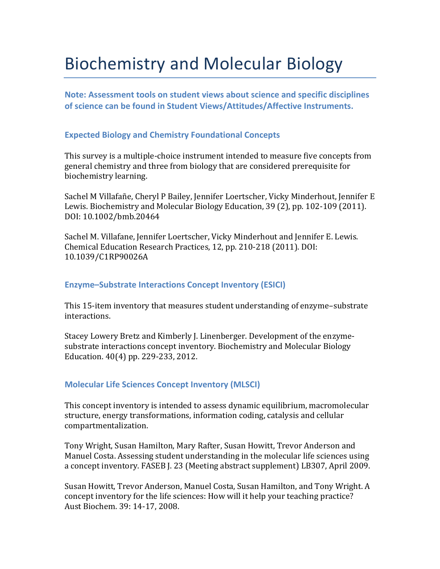# Biochemistry and Molecular Biology

**Note: Assessment tools on student views about science and specific disciplines of science can be found in Student Views/Attitudes/Affective Instruments.**

# **Expected Biology and Chemistry Foundational Concepts**

This survey is a multiple-choice instrument intended to measure five concepts from general chemistry and three from biology that are considered prerequisite for biochemistry learning.

Sachel M Villafañe, Cheryl P Bailey, Jennifer Loertscher, Vicky Minderhout, Jennifer E Lewis. Biochemistry and Molecular Biology Education, 39 (2), pp. 102-109 (2011). DOI: 10.1002/bmb.20464

Sachel M. Villafane, Jennifer Loertscher, Vicky Minderhout and Jennifer E. Lewis. Chemical Education Research Practices, 12, pp. 210-218 (2011). DOI: 10.1039/C1RP90026A

#### **Enzyme–Substrate Interactions Concept Inventory (ESICI)**

This 15-item inventory that measures student understanding of enzyme–substrate interactions.

Stacey Lowery Bretz and Kimberly J. Linenberger. Development of the enzymesubstrate interactions concept inventory. Biochemistry and Molecular Biology Education. 40(4) pp. 229-233, 2012.

# **Molecular Life Sciences Concept Inventory (MLSCI)**

This concept inventory is intended to assess dynamic equilibrium, macromolecular structure, energy transformations, information coding, catalysis and cellular compartmentalization.

Tony Wright, Susan Hamilton, Mary Rafter, Susan Howitt, Trevor Anderson and Manuel Costa. Assessing student understanding in the molecular life sciences using a concept inventory. FASEB J. 23 (Meeting abstract supplement) LB307, April 2009.

Susan Howitt, Trevor Anderson, Manuel Costa, Susan Hamilton, and Tony Wright. A concept inventory for the life sciences: How will it help your teaching practice? Aust Biochem. 39: 14-17, 2008.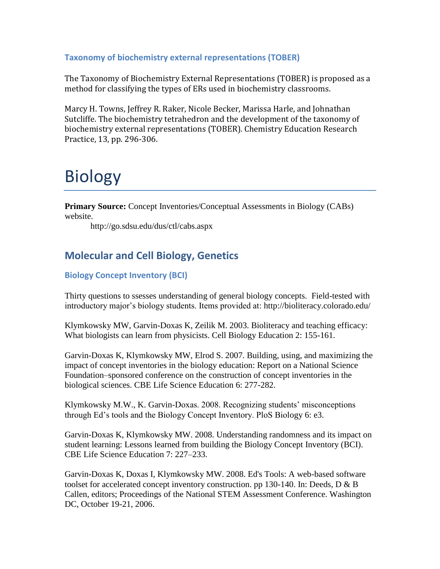# **Taxonomy of biochemistry external representations (TOBER)**

The Taxonomy of Biochemistry External Representations (TOBER) is proposed as a method for classifying the types of ERs used in biochemistry classrooms.

Marcy H. Towns, Jeffrey R. Raker, Nicole Becker, Marissa Harle, and Johnathan Sutcliffe. The biochemistry tetrahedron and the development of the taxonomy of biochemistry external representations (TOBER). Chemistry Education Research Practice, 13, pp. 296-306.

# Biology

**Primary Source:** Concept Inventories/Conceptual Assessments in Biology (CABs) website.

http://go.sdsu.edu/dus/ctl/cabs.aspx

# **Molecular and Cell Biology, Genetics**

# **Biology Concept Inventory (BCI)**

Thirty questions to ssesses understanding of general biology concepts. Field-tested with introductory major's biology students. Items provided at: http://bioliteracy.colorado.edu/

Klymkowsky MW, Garvin-Doxas K, Zeilik M. 2003. Bioliteracy and teaching efficacy: What biologists can learn from physicists. Cell Biology Education 2: 155-161.

Garvin-Doxas K, Klymkowsky MW, Elrod S. 2007. Building, using, and maximizing the impact of concept inventories in the biology education: Report on a National Science Foundation–sponsored conference on the construction of concept inventories in the biological sciences. CBE Life Science Education 6: 277-282.

Klymkowsky M.W., K. Garvin-Doxas. 2008. Recognizing students' misconceptions through Ed's tools and the Biology Concept Inventory. PloS Biology 6: e3.

Garvin-Doxas K, Klymkowsky MW. 2008. Understanding randomness and its impact on student learning: Lessons learned from building the Biology Concept Inventory (BCI). CBE Life Science Education 7: 227–233.

Garvin-Doxas K, Doxas I, Klymkowsky MW. 2008. Ed's Tools: A web-based software toolset for accelerated concept inventory construction. pp 130-140. In: Deeds, D & B Callen, editors; Proceedings of the National STEM Assessment Conference. Washington DC, October 19-21, 2006.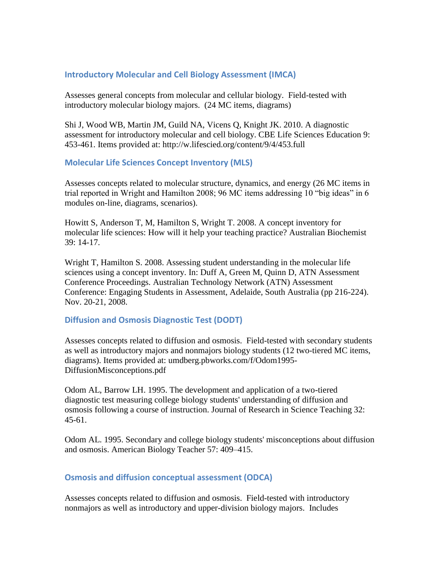#### **Introductory Molecular and Cell Biology Assessment (IMCA)**

Assesses general concepts from molecular and cellular biology. Field-tested with introductory molecular biology majors. (24 MC items, diagrams)

Shi J, Wood WB, Martin JM, Guild NA, Vicens Q, Knight JK. 2010. A diagnostic assessment for introductory molecular and cell biology. CBE Life Sciences Education 9: 453-461. Items provided at: http://w.lifescied.org/content/9/4/453.full

## **Molecular Life Sciences Concept Inventory (MLS)**

Assesses concepts related to molecular structure, dynamics, and energy (26 MC items in trial reported in Wright and Hamilton 2008; 96 MC items addressing 10 "big ideas" in 6 modules on-line, diagrams, scenarios).

Howitt S, Anderson T, M, Hamilton S, Wright T. 2008. A concept inventory for molecular life sciences: How will it help your teaching practice? Australian Biochemist 39: 14-17.

Wright T, Hamilton S. 2008. Assessing student understanding in the molecular life sciences using a concept inventory. In: Duff A, Green M, Quinn D, ATN Assessment Conference Proceedings. Australian Technology Network (ATN) Assessment Conference: Engaging Students in Assessment, Adelaide, South Australia (pp 216-224). Nov. 20-21, 2008.

# **Diffusion and Osmosis Diagnostic Test (DODT)**

Assesses concepts related to diffusion and osmosis. Field-tested with secondary students as well as introductory majors and nonmajors biology students (12 two-tiered MC items, diagrams). Items provided at: umdberg.pbworks.com/f/Odom1995- DiffusionMisconceptions.pdf

Odom AL, Barrow LH. 1995. The development and application of a two-tiered diagnostic test measuring college biology students' understanding of diffusion and osmosis following a course of instruction. Journal of Research in Science Teaching 32: 45-61.

Odom AL. 1995. Secondary and college biology students' misconceptions about diffusion and osmosis. American Biology Teacher 57: 409–415.

# **Osmosis and diffusion conceptual assessment (ODCA)**

Assesses concepts related to diffusion and osmosis. Field-tested with introductory nonmajors as well as introductory and upper-division biology majors. Includes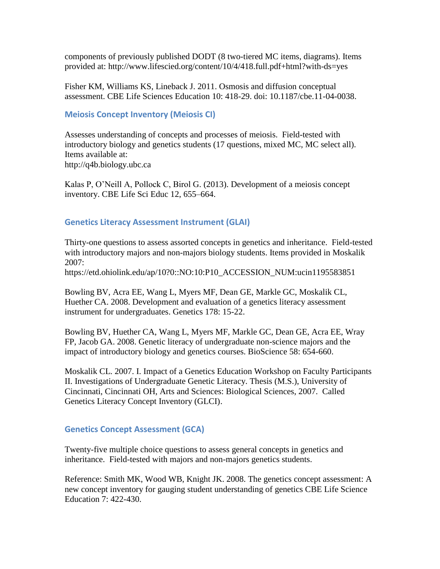components of previously published DODT (8 two-tiered MC items, diagrams). Items provided at: http://www.lifescied.org/content/10/4/418.full.pdf+html?with-ds=yes

Fisher KM, Williams KS, Lineback J. 2011. Osmosis and diffusion conceptual assessment. CBE Life Sciences Education 10: 418-29. doi: 10.1187/cbe.11-04-0038.

## **Meiosis Concept Inventory (Meiosis CI)**

Assesses understanding of concepts and processes of meiosis. Field-tested with introductory biology and genetics students (17 questions, mixed MC, MC select all). Items available at: http://q4b.biology.ubc.ca

Kalas P, O'Neill A, Pollock C, Birol G. (2013). Development of a meiosis concept inventory. CBE Life Sci Educ 12, 655–664.

## **Genetics Literacy Assessment Instrument (GLAI)**

Thirty-one questions to assess assorted concepts in genetics and inheritance. Field-tested with introductory majors and non-majors biology students. Items provided in Moskalik 2007:

https://etd.ohiolink.edu/ap/10?0::NO:10:P10\_ACCESSION\_NUM:ucin1195583851

Bowling BV, Acra EE, Wang L, Myers MF, Dean GE, Markle GC, Moskalik CL, Huether CA. 2008. Development and evaluation of a genetics literacy assessment instrument for undergraduates. Genetics 178: 15-22.

Bowling BV, Huether CA, Wang L, Myers MF, Markle GC, Dean GE, Acra EE, Wray FP, Jacob GA. 2008. Genetic literacy of undergraduate non-science majors and the impact of introductory biology and genetics courses. BioScience 58: 654-660.

Moskalik CL. 2007. I. Impact of a Genetics Education Workshop on Faculty Participants II. Investigations of Undergraduate Genetic Literacy. Thesis (M.S.), University of Cincinnati, Cincinnati OH, Arts and Sciences: Biological Sciences, 2007. Called Genetics Literacy Concept Inventory (GLCI).

# **Genetics Concept Assessment (GCA)**

Twenty-five multiple choice questions to assess general concepts in genetics and inheritance. Field-tested with majors and non-majors genetics students.

Reference: Smith MK, Wood WB, Knight JK. 2008. The genetics concept assessment: A new concept inventory for gauging student understanding of genetics CBE Life Science Education 7: 422-430.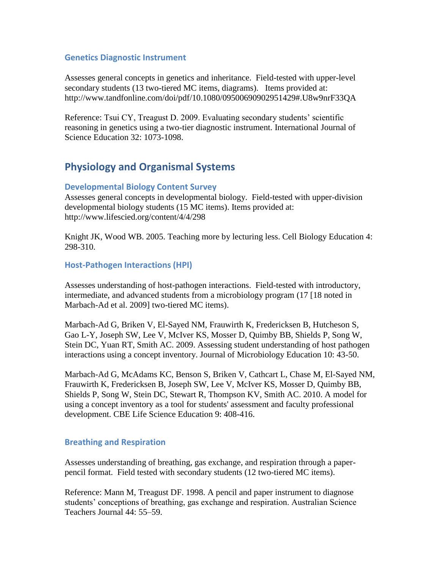#### **Genetics Diagnostic Instrument**

Assesses general concepts in genetics and inheritance. Field-tested with upper-level secondary students (13 two-tiered MC items, diagrams). Items provided at: http://www.tandfonline.com/doi/pdf/10.1080/09500690902951429#.U8w9nrF33QA

Reference: Tsui CY, Treagust D. 2009. Evaluating secondary students' scientific reasoning in genetics using a two-tier diagnostic instrument. International Journal of Science Education 32: 1073-1098.

# **Physiology and Organismal Systems**

## **Developmental Biology Content Survey**

Assesses general concepts in developmental biology. Field-tested with upper-division developmental biology students (15 MC items). Items provided at: http://www.lifescied.org/content/4/4/298

Knight JK, Wood WB. 2005. Teaching more by lecturing less. Cell Biology Education 4: 298-310.

## **Host-Pathogen Interactions (HPI)**

Assesses understanding of host-pathogen interactions. Field-tested with introductory, intermediate, and advanced students from a microbiology program (17 [18 noted in Marbach-Ad et al. 2009] two-tiered MC items).

Marbach-Ad G, Briken V, El-Sayed NM, Frauwirth K, Fredericksen B, Hutcheson S, Gao L-Y, Joseph SW, Lee V, McIver KS, Mosser D, Quimby BB, Shields P, Song W, Stein DC, Yuan RT, Smith AC. 2009. Assessing student understanding of host pathogen interactions using a concept inventory. Journal of Microbiology Education 10: 43-50.

Marbach-Ad G, McAdams KC, Benson S, Briken V, Cathcart L, Chase M, El-Sayed NM, Frauwirth K, Fredericksen B, Joseph SW, Lee V, McIver KS, Mosser D, Quimby BB, Shields P, Song W, Stein DC, Stewart R, Thompson KV, Smith AC. 2010. A model for using a concept inventory as a tool for students' assessment and faculty professional development. CBE Life Science Education 9: 408-416.

#### **Breathing and Respiration**

Assesses understanding of breathing, gas exchange, and respiration through a paperpencil format. Field tested with secondary students (12 two-tiered MC items).

Reference: Mann M, Treagust DF. 1998. A pencil and paper instrument to diagnose students' conceptions of breathing, gas exchange and respiration. Australian Science Teachers Journal 44: 55–59.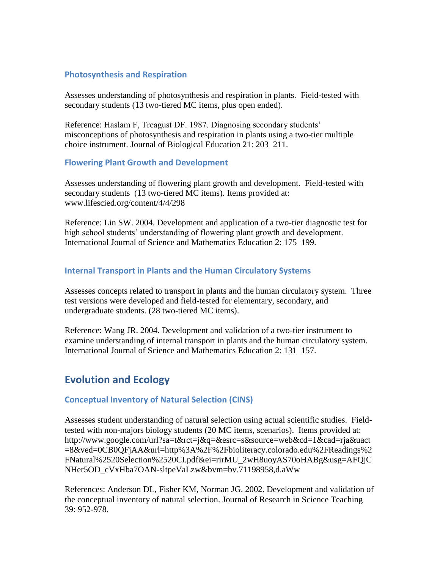#### **Photosynthesis and Respiration**

Assesses understanding of photosynthesis and respiration in plants. Field-tested with secondary students (13 two-tiered MC items, plus open ended).

Reference: Haslam F, Treagust DF. 1987. Diagnosing secondary students' misconceptions of photosynthesis and respiration in plants using a two-tier multiple choice instrument. Journal of Biological Education 21: 203–211.

#### **Flowering Plant Growth and Development**

Assesses understanding of flowering plant growth and development. Field-tested with secondary students (13 two-tiered MC items). Items provided at: www.lifescied.org/content/4/4/298

Reference: Lin SW. 2004. Development and application of a two-tier diagnostic test for high school students' understanding of flowering plant growth and development. International Journal of Science and Mathematics Education 2: 175–199.

#### **Internal Transport in Plants and the Human Circulatory Systems**

Assesses concepts related to transport in plants and the human circulatory system. Three test versions were developed and field-tested for elementary, secondary, and undergraduate students. (28 two-tiered MC items).

Reference: Wang JR. 2004. Development and validation of a two-tier instrument to examine understanding of internal transport in plants and the human circulatory system. International Journal of Science and Mathematics Education 2: 131–157.

# **Evolution and Ecology**

#### **Conceptual Inventory of Natural Selection (CINS)**

Assesses student understanding of natural selection using actual scientific studies. Fieldtested with non-majors biology students (20 MC items, scenarios). Items provided at: http://www.google.com/url?sa=t&rct=j&q=&esrc=s&source=web&cd=1&cad=rja&uact =8&ved=0CB0QFjAA&url=http%3A%2F%2Fbioliteracy.colorado.edu%2FReadings%2 FNatural%2520Selection%2520CI.pdf&ei=rirMU\_2wH8uoyAS70oHABg&usg=AFQjC NHer5OD\_cVxHba7OAN-sltpeVaLzw&bvm=bv.71198958,d.aWw

References: Anderson DL, Fisher KM, Norman JG. 2002. Development and validation of the conceptual inventory of natural selection. Journal of Research in Science Teaching 39: 952-978.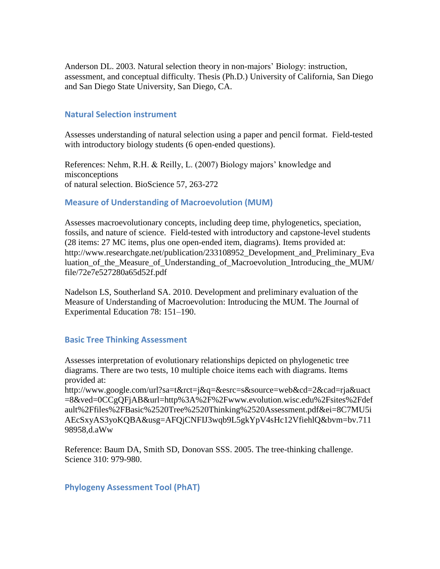Anderson DL. 2003. Natural selection theory in non-majors' Biology: instruction, assessment, and conceptual difficulty. Thesis (Ph.D.) University of California, San Diego and San Diego State University, San Diego, CA.

#### **Natural Selection instrument**

Assesses understanding of natural selection using a paper and pencil format. Field-tested with introductory biology students (6 open-ended questions).

References: Nehm, R.H. & Reilly, L. (2007) Biology majors' knowledge and misconceptions of natural selection. BioScience 57, 263-272

#### **Measure of Understanding of Macroevolution (MUM)**

Assesses macroevolutionary concepts, including deep time, phylogenetics, speciation, fossils, and nature of science. Field-tested with introductory and capstone-level students (28 items: 27 MC items, plus one open-ended item, diagrams). Items provided at: http://www.researchgate.net/publication/233108952\_Development\_and\_Preliminary\_Eva luation of the Measure of Understanding of Macroevolution Introducing the MUM/ file/72e7e527280a65d52f.pdf

Nadelson LS, Southerland SA. 2010. Development and preliminary evaluation of the Measure of Understanding of Macroevolution: Introducing the MUM. The Journal of Experimental Education 78: 151–190.

#### **Basic Tree Thinking Assessment**

Assesses interpretation of evolutionary relationships depicted on phylogenetic tree diagrams. There are two tests, 10 multiple choice items each with diagrams. Items provided at:

http://www.google.com/url?sa=t&rct=j&q=&esrc=s&source=web&cd=2&cad=rja&uact =8&ved=0CCgQFjAB&url=http%3A%2F%2Fwww.evolution.wisc.edu%2Fsites%2Fdef ault%2Ffiles%2FBasic%2520Tree%2520Thinking%2520Assessment.pdf&ei=8C7MU5i AEcSxyAS3yoKQBA&usg=AFQjCNFIJ3wqb9L5gkYpV4sHc12VfiehlQ&bvm=bv.711 98958,d.aWw

Reference: Baum DA, Smith SD, Donovan SSS. 2005. The tree-thinking challenge. Science 310: 979-980.

#### **Phylogeny Assessment Tool (PhAT)**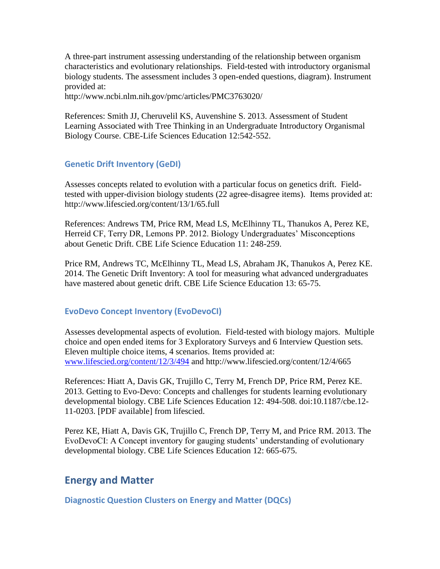A three-part instrument assessing understanding of the relationship between organism characteristics and evolutionary relationships. Field-tested with introductory organismal biology students. The assessment includes 3 open-ended questions, diagram). Instrument provided at:

http://www.ncbi.nlm.nih.gov/pmc/articles/PMC3763020/

References: Smith JJ, Cheruvelil KS, Auvenshine S. 2013. Assessment of Student Learning Associated with Tree Thinking in an Undergraduate Introductory Organismal Biology Course. CBE-Life Sciences Education 12:542-552.

# **Genetic Drift Inventory (GeDI)**

Assesses concepts related to evolution with a particular focus on genetics drift. Fieldtested with upper-division biology students (22 agree-disagree items). Items provided at: http://www.lifescied.org/content/13/1/65.full

References: Andrews TM, Price RM, Mead LS, McElhinny TL, Thanukos A, Perez KE, Herreid CF, Terry DR, Lemons PP. 2012. Biology Undergraduates' Misconceptions about Genetic Drift. CBE Life Science Education 11: 248-259.

Price RM, Andrews TC, McElhinny TL, Mead LS, Abraham JK, Thanukos A, Perez KE. 2014. The Genetic Drift Inventory: A tool for measuring what advanced undergraduates have mastered about genetic drift. CBE Life Science Education 13: 65-75.

# **EvoDevo Concept Inventory (EvoDevoCI)**

Assesses developmental aspects of evolution. Field-tested with biology majors. Multiple choice and open ended items for 3 Exploratory Surveys and 6 Interview Question sets. Eleven multiple choice items, 4 scenarios. Items provided at: [www.lifescied.org/content/12/3/494](http://www.lifescied.org/content/12/3/494) and http://www.lifescied.org/content/12/4/665

References: Hiatt A, Davis GK, Trujillo C, Terry M, French DP, Price RM, Perez KE. 2013. Getting to Evo-Devo: Concepts and challenges for students learning evolutionary developmental biology. CBE Life Sciences Education 12: 494-508. doi:10.1187/cbe.12- 11-0203. [PDF available] from lifescied.

Perez KE, Hiatt A, Davis GK, Trujillo C, French DP, Terry M, and Price RM. 2013. The EvoDevoCI: A Concept inventory for gauging students' understanding of evolutionary developmental biology. CBE Life Sciences Education 12: 665-675.

# **Energy and Matter**

**Diagnostic Question Clusters on Energy and Matter (DQCs)**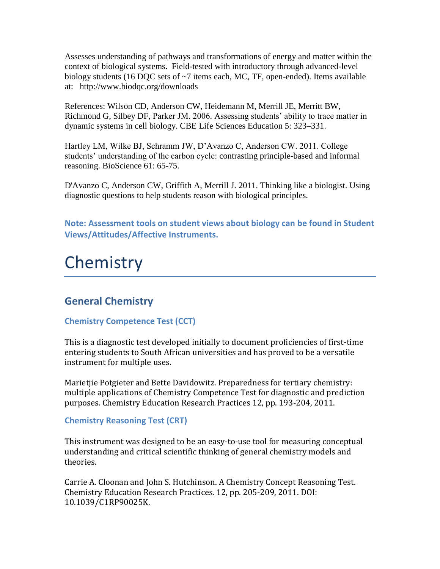Assesses understanding of pathways and transformations of energy and matter within the context of biological systems. Field-tested with introductory through advanced-level biology students (16 DQC sets of ~7 items each, MC, TF, open-ended). Items available at: http://www.biodqc.org/downloads

References: Wilson CD, Anderson CW, Heidemann M, Merrill JE, Merritt BW, Richmond G, Silbey DF, Parker JM. 2006. Assessing students' ability to trace matter in dynamic systems in cell biology. CBE Life Sciences Education 5: 323–331.

Hartley LM, Wilke BJ, Schramm JW, D'Avanzo C, Anderson CW. 2011. College students' understanding of the carbon cycle: contrasting principle-based and informal reasoning. BioScience 61: 65-75.

D'Avanzo C, Anderson CW, Griffith A, Merrill J. 2011. Thinking like a biologist. Using diagnostic questions to help students reason with biological principles.

**Note: Assessment tools on student views about biology can be found in Student Views/Attitudes/Affective Instruments.**

# **Chemistry**

# **General Chemistry**

# **Chemistry Competence Test (CCT)**

This is a diagnostic test developed initially to document proficiencies of first-time entering students to South African universities and has proved to be a versatile instrument for multiple uses.

Marietjie Potgieter and Bette Davidowitz. Preparedness for tertiary chemistry: multiple applications of Chemistry Competence Test for diagnostic and prediction purposes. Chemistry Education Research Practices 12, pp. 193-204, 2011.

# **Chemistry Reasoning Test (CRT)**

This instrument was designed to be an easy-to-use tool for measuring conceptual understanding and critical scientific thinking of general chemistry models and theories.

Carrie A. Cloonan and John S. Hutchinson. A Chemistry Concept Reasoning Test. Chemistry Education Research Practices. 12, pp. 205-209, 2011. DOI: 10.1039/C1RP90025K.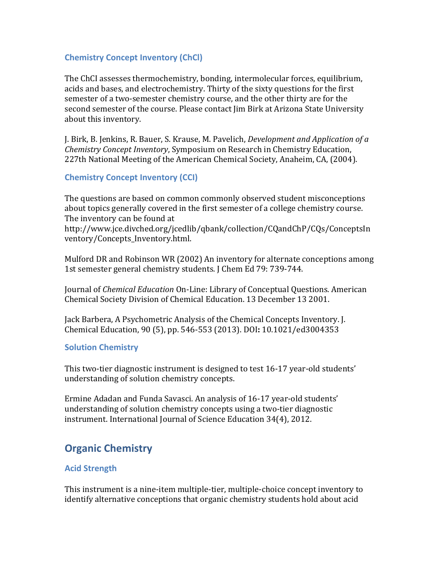# **Chemistry Concept Inventory (ChCl)**

The ChCI assesses thermochemistry, bonding, intermolecular forces, equilibrium, acids and bases, and electrochemistry. Thirty of the sixty questions for the first semester of a two-semester chemistry course, and the other thirty are for the second semester of the course. Please contact Jim Birk at Arizona State University about this inventory.

J. Birk, B. Jenkins, R. Bauer, S. Krause, M. Pavelich, *Development and Application of a Chemistry Concept Inventory*, Symposium on Research in Chemistry Education, 227th National Meeting of the American Chemical Society, Anaheim, CA, (2004).

# **Chemistry Concept Inventory (CCI)**

The questions are based on common commonly observed student misconceptions about topics generally covered in the first semester of a college chemistry course. The inventory can be found at

http://www.jce.divched.org/jcedlib/qbank/collection/CQandChP/CQs/ConceptsIn ventory/Concepts\_Inventory.html.

Mulford DR and Robinson WR (2002) An inventory for alternate conceptions among 1st semester general chemistry students. J Chem Ed 79: 739-744.

Journal of *Chemical Education* On-Line: Library of Conceptual Questions. American Chemical Society Division of Chemical Education. 13 December 13 2001.

Jack Barbera, A Psychometric Analysis of the Chemical Concepts Inventory. J. Chemical Education, 90 (5), pp. 546-553 (2013). DOI**:** 10.1021/ed3004353

#### **Solution Chemistry**

This two-tier diagnostic instrument is designed to test 16-17 year-old students' understanding of solution chemistry concepts.

Ermine Adadan and Funda Savasci. An analysis of 16-17 year-old students' understanding of solution chemistry concepts using a two-tier diagnostic instrument. International Journal of Science Education 34(4), 2012.

# **Organic Chemistry**

# **Acid Strength**

This instrument is a nine-item multiple-tier, multiple-choice concept inventory to identify alternative conceptions that organic chemistry students hold about acid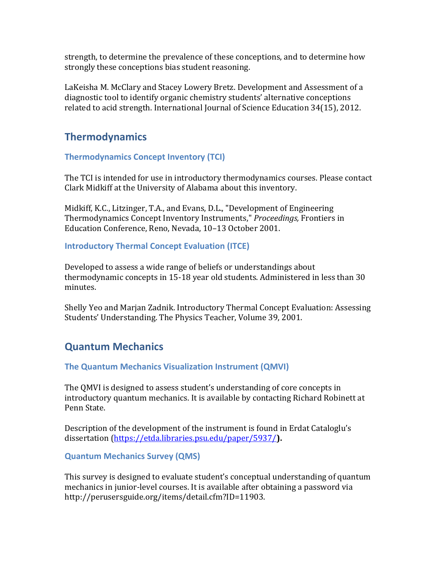strength, to determine the prevalence of these conceptions, and to determine how strongly these conceptions bias student reasoning.

LaKeisha M. McClary and Stacey Lowery Bretz. Development and Assessment of a diagnostic tool to identify organic chemistry students' alternative conceptions related to acid strength. International Journal of Science Education 34(15), 2012.

# **Thermodynamics**

# **Thermodynamics Concept Inventory (TCI)**

The TCI is intended for use in introductory thermodynamics courses. Please contact Clark Midkiff at the University of Alabama about this inventory.

Midkiff, K.C., Litzinger, T.A., and Evans, D.L., "Development of Engineering Thermodynamics Concept Inventory Instruments," *Proceedings,* Frontiers in Education Conference, Reno, Nevada, 10–13 October 2001.

# **Introductory Thermal Concept Evaluation (ITCE)**

Developed to assess a wide range of beliefs or understandings about thermodynamic concepts in 15-18 year old students. Administered in less than 30 minutes.

Shelly Yeo and Marjan Zadnik. Introductory Thermal Concept Evaluation: Assessing Students' Understanding. The Physics Teacher, Volume 39, 2001.

# **Quantum Mechanics**

# **The Quantum Mechanics Visualization Instrument (QMVI)**

The QMVI is designed to assess student's understanding of core concepts in introductory quantum mechanics. It is available by contacting Richard Robinett at Penn State.

Description of the development of the instrument is found in Erdat Cataloglu's dissertation [\(https://etda.libraries.psu.edu/paper/5937/](https://etda.libraries.psu.edu/paper/5937/)**).**

# **Quantum Mechanics Survey (QMS)**

This survey is designed to evaluate student's conceptual understanding of quantum mechanics in junior-level courses. It is available after obtaining a password via http://perusersguide.org/items/detail.cfm?ID=11903.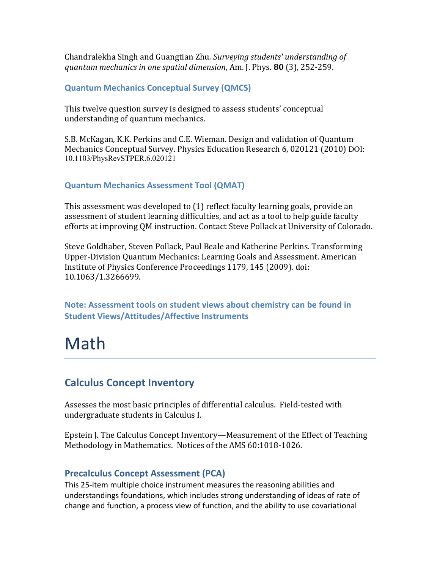Chandralekha Singh and Guangtian Zhu*. Surveying students' understanding of quantum mechanics in one spatial dimension*, Am. J. Phys. **80** (3), 252-259.

# **Quantum Mechanics Conceptual Survey (QMCS)**

This twelve question survey is designed to assess students' conceptual understanding of quantum mechanics.

S.B. McKagan, K.K. Perkins and C.E. Wieman. Design and validation of Quantum Mechanics Conceptual Survey. Physics Education Research 6, 020121 (2010) DOI: 10.1103/PhysRevSTPER.6.020121

# **Quantum Mechanics Assessment Tool (QMAT)**

This assessment was developed to (1) reflect faculty learning goals, provide an assessment of student learning difficulties, and act as a tool to help guide faculty efforts at improving QM instruction. Contact Steve Pollack at University of Colorado.

Steve Goldhaber, Steven Pollack, Paul Beale and Katherine Perkins. Transforming Upper-Division Quantum Mechanics: Learning Goals and Assessment. American Institute of Physics Conference Proceedings 1179, 145 (2009). doi: 10.1063/1.3266699.

**Note: Assessment tools on student views about chemistry can be found in Student Views/Attitudes/Affective Instruments**

# Math

# **Calculus Concept Inventory**

Assesses the most basic principles of differential calculus. Field-tested with undergraduate students in Calculus I.

Epstein J. The Calculus Concept Inventory—Measurement of the Effect of Teaching Methodology in Mathematics. Notices of the AMS 60:1018-1026.

# **Precalculus Concept Assessment (PCA)**

This 25-item multiple choice instrument measures the reasoning abilities and understandings foundations, which includes strong understanding of ideas of rate of change and function, a process view of function, and the ability to use covariational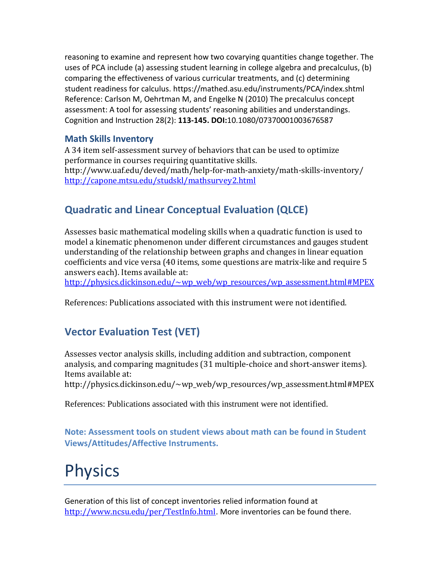reasoning to examine and represent how two covarying quantities change together. The uses of PCA include (a) assessing student learning in college algebra and precalculus, (b) comparing the effectiveness of various curricular treatments, and (c) determining student readiness for calculus. https://mathed.asu.edu/instruments/PCA/index.shtml Reference: Carlson M, Oehrtman M, and Engelke N (2010) The precalculus concept assessment: A tool for assessing students' reasoning abilities and understandings. Cognition and Instruction 28(2): **113-145. DOI:**10.1080/07370001003676587

# **Math Skills Inventory**

A 34 item self-assessment survey of behaviors that can be used to optimize performance in courses requiring quantitative skills. http://www.uaf.edu/deved/math/help-for-math-anxiety/math-skills-inventory/ <http://capone.mtsu.edu/studskl/mathsurvey2.html>

# **Quadratic and Linear Conceptual Evaluation (QLCE)**

Assesses basic mathematical modeling skills when a quadratic function is used to model a kinematic phenomenon under different circumstances and gauges student understanding of the relationship between graphs and changes in linear equation coefficients and vice versa (40 items, some questions are matrix-like and require 5 answers each). Items available at:

[http://physics.dickinson.edu/~wp\\_web/wp\\_resources/wp\\_assessment.html#MPEX](http://physics.dickinson.edu/~wp_web/wp_resources/wp_assessment.html#MPEX)

References: Publications associated with this instrument were not identified.

# **Vector Evaluation Test (VET)**

Assesses vector analysis skills, including addition and subtraction, component analysis, and comparing magnitudes (31 multiple-choice and short-answer items). Items available at:

http://physics.dickinson.edu/~wp\_web/wp\_resources/wp\_assessment.html#MPEX

References: Publications associated with this instrument were not identified.

**Note: Assessment tools on student views about math can be found in Student Views/Attitudes/Affective Instruments.**

# **Physics**

Generation of this list of concept inventories relied information found at <http://www.ncsu.edu/per/TestInfo.html>. More inventories can be found there.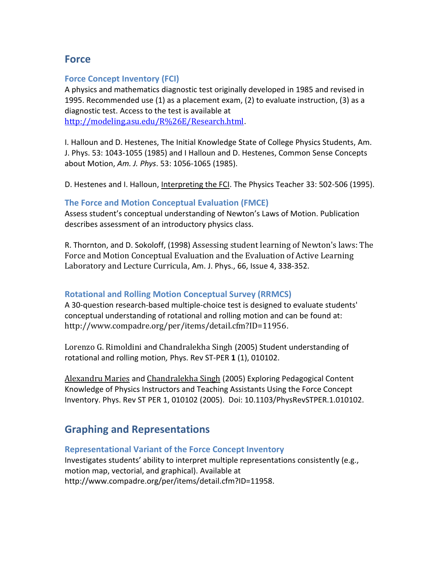# **Force**

# **Force Concept Inventory (FCI)**

A physics and mathematics diagnostic test originally developed in 1985 and revised in 1995. Recommended use (1) as a placement exam, (2) to evaluate instruction, (3) as a diagnostic test. Access to the test is available at <http://modeling.asu.edu/R%26E/Research.html>.

I. Halloun and D. Hestenes, [The Initial Knowledge State of College Physics Students,](http://modeling.asu.edu/R&E/InitialKnowledge.pdf) Am. J. Phys. 53: 1043-1055 (1985) and I Halloun and D. Hestenes[, Common Sense Concepts](http://modeling.asu.edu/R&E/Hestenes_CommonSenseConcept.pdf)  [about Motion,](http://modeling.asu.edu/R&E/Hestenes_CommonSenseConcept.pdf) *Am. J. Phys*. 53: 1056-1065 (1985).

D. Hestenes and I. Halloun, *Interpreting the FCI*. The Physics Teacher 33: 502-506 (1995).

# **The Force and Motion Conceptual Evaluation (FMCE)**

Assess student's conceptual understanding of Newton's Laws of Motion. Publication describes assessment of an introductory physics class.

R. Thornton, and D. Sokoloff, (1998) [Assessing student learning of Newton's laws: The](http://scitation.aip.org/getpdf/servlet/GetPDFServlet?filetype=pdf&id=AJPIAS000066000004000338000001&idtype=cvips&ident=freesearch&prog=search)  [Force and Motion Conceptual Evaluation and the Evaluation of Active Learning](http://scitation.aip.org/getpdf/servlet/GetPDFServlet?filetype=pdf&id=AJPIAS000066000004000338000001&idtype=cvips&ident=freesearch&prog=search)  [Laboratory and Lecture Curricula](http://scitation.aip.org/getpdf/servlet/GetPDFServlet?filetype=pdf&id=AJPIAS000066000004000338000001&idtype=cvips&ident=freesearch&prog=search), Am. J. Phys., 66, Issue 4, 338-352.

# **Rotational and Rolling Motion Conceptual Survey (RRMCS)**

A 30-question research-based multiple-choice test is designed to evaluate students' conceptual understanding of rotational and rolling motion and can be found at: <http://www.compadre.org/per/items/detail.cfm?ID=11956>.

[Lorenzo G. Rimoldini](http://arxiv.org/find/physics/1/au:+Rimoldini_L/0/1/0/all/0/1) and [Chandralekha Singh](http://arxiv.org/find/physics/1/au:+Singh_C/0/1/0/all/0/1) (2005) Student understanding of rotational and rolling motion*,* Phys. Rev ST-PER **1** (1), 010102.

[Alexandru Maries](http://arxiv.org/find/physics/1/au:+Maries_A/0/1/0/all/0/1) and [Chandralekha Singh](http://arxiv.org/find/physics/1/au:+Singh_C/0/1/0/all/0/1) (2005) Exploring Pedagogical Content Knowledge of Physics Instructors and Teaching Assistants Using the Force Concept Inventory. Phys. Rev ST PER 1, 010102 (2005). Doi: 10.1103/PhysRevSTPER.1.010102.

# **Graphing and Representations**

# **Representational Variant of the Force Concept Inventory**

Investigates students' ability to interpret multiple representations consistently (e.g., motion map, vectorial, and graphical). Available at http://www.compadre.org/per/items/detail.cfm?ID=11958.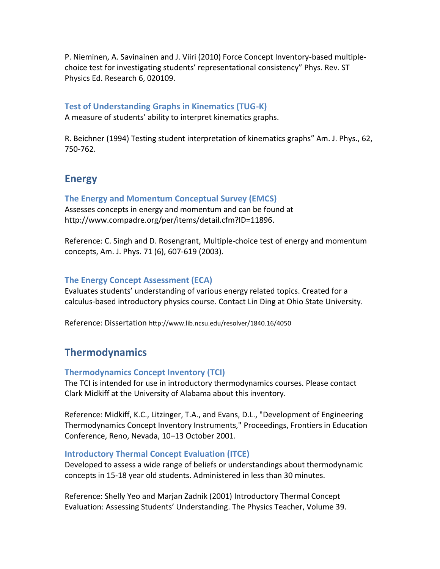P. Nieminen, A. Savinainen and J. Viiri (2010) Force Concept Inventory-based multiplechoice test for investigating students' representational consistency" Phys. Rev. ST Physics Ed. Research 6, 020109.

# **Test of Understanding Graphs in Kinematics (TUG-K)**

A measure of students' ability to interpret kinematics graphs.

R. Beichner (1994) Testing student interpretation of kinematics graphs" Am. J. Phys., 62, 750-762.

# **Energy**

# **The Energy and Momentum Conceptual Survey (EMCS)**

Assesses concepts in energy and momentum and can be found at http://www.compadre.org/per/items/detail.cfm?ID=11896.

Reference: C. Singh and D. Rosengrant, Multiple-choice test of energy and momentum concepts, Am. J. Phys. 71 (6), 607-619 (2003).

# **The Energy Concept Assessment (ECA)**

Evaluates students' understanding of various energy related topics. Created for a calculus-based introductory physics course. Contact Lin Ding at Ohio State University.

Reference: Dissertation http://www.lib.ncsu.edu/resolver/1840.16/4050

# **Thermodynamics**

# **Thermodynamics Concept Inventory (TCI)**

The TCI is intended for use in introductory thermodynamics courses. Please contact Clark Midkiff at the University of Alabama about this inventory.

Reference: Midkiff, K.C., Litzinger, T.A., and Evans, D.L., "Development of Engineering Thermodynamics Concept Inventory Instruments," Proceedings, Frontiers in Education Conference, Reno, Nevada, 10–13 October 2001.

# **Introductory Thermal Concept Evaluation (ITCE)**

Developed to assess a wide range of beliefs or understandings about thermodynamic concepts in 15-18 year old students. Administered in less than 30 minutes.

Reference: Shelly Yeo and Marjan Zadnik (2001) Introductory Thermal Concept Evaluation: Assessing Students' Understanding. The Physics Teacher, Volume 39.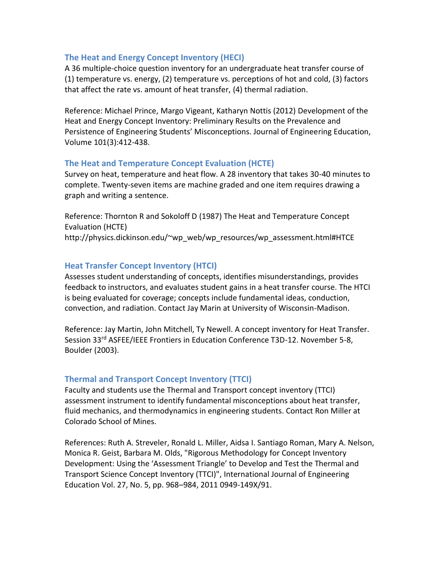## **The Heat and Energy Concept Inventory (HECI)**

A 36 multiple-choice question inventory for an undergraduate heat transfer course of (1) temperature vs. energy, (2) temperature vs. perceptions of hot and cold, (3) factors that affect the rate vs. amount of heat transfer, (4) thermal radiation.

Reference: Michael Prince, Margo Vigeant, Katharyn Nottis (2012) Development of the Heat and Energy Concept Inventory: Preliminary Results on the Prevalence and Persistence of Engineering Students' Misconceptions. Journal of Engineering Education, Volume 101(3):412-438.

#### **The Heat and Temperature Concept Evaluation (HCTE)**

Survey on heat, temperature and heat flow. A 28 inventory that takes 30-40 minutes to complete. Twenty-seven items are machine graded and one item requires drawing a graph and writing a sentence.

Reference: Thornton R and Sokoloff D (1987) The Heat and Temperature Concept Evaluation (HCTE) http://physics.dickinson.edu/~wp\_web/wp\_resources/wp\_assessment.html#HTCE

## **Heat Transfer Concept Inventory (HTCI)**

Assesses student understanding of concepts, identifies misunderstandings, provides feedback to instructors, and evaluates student gains in a heat transfer course. The HTCI is being evaluated for coverage; concepts include fundamental ideas, conduction, convection, and radiation. Contact Jay Marin at University of Wisconsin-Madison.

Reference: Jay Martin, John Mitchell, Ty Newell. A concept inventory for Heat Transfer. Session 33<sup>rd</sup> ASFEE/IEEE Frontiers in Education Conference T3D-12. November 5-8, Boulder (2003).

#### **Thermal and Transport Concept Inventory (TTCI)**

Faculty and students use the Thermal and Transport concept inventory (TTCI) assessment instrument to identify fundamental misconceptions about heat transfer, fluid mechanics, and thermodynamics in engineering students. Contact Ron Miller at Colorado School of Mines.

References: Ruth A. Streveler, Ronald L. Miller, Aidsa I. Santiago Roman, Mary A. Nelson, Monica R. Geist, Barbara M. Olds, "Rigorous Methodology for Concept Inventory Development: Using the 'Assessment Triangle' to Develop and Test the Thermal and Transport Science Concept Inventory (TTCI)", International Journal of Engineering Education Vol. 27, No. 5, pp. 968–984, 2011 0949-149X/91.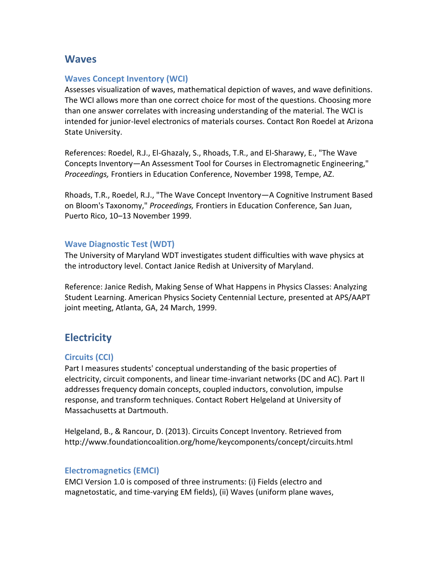# **Waves**

# **Waves Concept Inventory (WCI)**

Assesses visualization of waves, mathematical depiction of waves, and wave definitions. The WCI allows more than one correct choice for most of the questions. Choosing more than one answer correlates with increasing understanding of the material. The WCI is intended for junior-level electronics of materials courses. Contact Ron Roedel at Arizona State University.

References: Roedel, R.J., El-Ghazaly, S., Rhoads, T.R., and El-Sharawy, E., "The Wave Concepts Inventory—An Assessment Tool for Courses in Electromagnetic Engineering," *Proceedings,* Frontiers in Education Conference, November 1998, Tempe, AZ.

Rhoads, T.R., Roedel, R.J., "The Wave Concept Inventory—A Cognitive Instrument Based on Bloom's Taxonomy," *Proceedings,* Frontiers in Education Conference, San Juan, Puerto Rico, 10–13 November 1999.

## **Wave Diagnostic Test (WDT)**

The University of Maryland WDT investigates student difficulties with wave physics at the introductory level. Contact Janice Redish at University of Maryland.

Reference: Janice Redish, Making Sense of What Happens in Physics Classes: Analyzing Student Learning. American Physics Society Centennial Lecture, presented at APS/AAPT joint meeting, Atlanta, GA, 24 March, 1999.

# **Electricity**

# **Circuits (CCI)**

Part I measures students' conceptual understanding of the basic properties of electricity, circuit components, and linear time-invariant networks (DC and AC). Part II addresses frequency domain concepts, coupled inductors, convolution, impulse response, and transform techniques. Contact Robert Helgeland at University of Massachusetts at Dartmouth.

Helgeland, B., & Rancour, D. (2013). Circuits Concept Inventory. Retrieved from http://www.foundationcoalition.org/home/keycomponents/concept/circuits.html

# **Electromagnetics (EMCI)**

EMCI Version 1.0 is composed of three instruments: (i) Fields (electro and magnetostatic, and time-varying EM fields), (ii) Waves (uniform plane waves,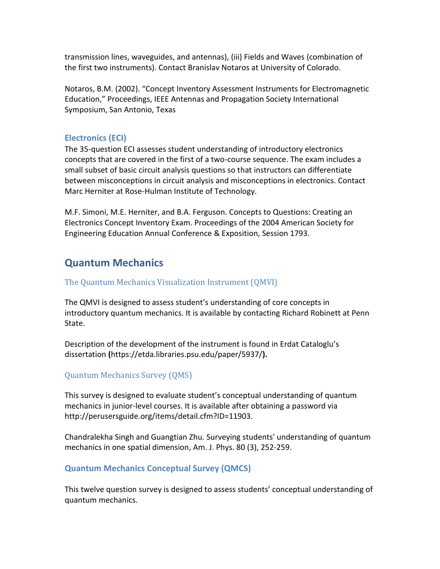transmission lines, waveguides, and antennas), (iii) Fields and Waves (combination of the first two instruments). Contact Branislav Notaros at University of Colorado.

Notaros, B.M. (2002). "Concept Inventory Assessment Instruments for Electromagnetic Education," Proceedings, IEEE Antennas and Propagation Society International Symposium, San Antonio, Texas

# **Electronics (ECI)**

The 35-question ECI assesses student understanding of introductory electronics concepts that are covered in the first of a two-course sequence. The exam includes a small subset of basic circuit analysis questions so that instructors can differentiate between misconceptions in circuit analysis and misconceptions in electronics. Contact Marc Herniter at Rose-Hulman Institute of Technology.

M.F. Simoni, M.E. Herniter, and B.A. Ferguson. Concepts to Questions: Creating an Electronics Concept Inventory Exam. Proceedings of the 2004 American Society for Engineering Education Annual Conference & Exposition, Session 1793.

# **Quantum Mechanics**

## The Quantum Mechanics Visualization Instrument (QMVI)

The QMVI is designed to assess student's understanding of core concepts in introductory quantum mechanics. It is available by contacting Richard Robinett at Penn State.

Description of the development of the instrument is found in Erdat Cataloglu's dissertation **(**https://etda.libraries.psu.edu/paper/5937/**).** 

# Quantum Mechanics Survey (QMS)

This survey is designed to evaluate student's conceptual understanding of quantum mechanics in junior-level courses. It is available after obtaining a password via http://perusersguide.org/items/detail.cfm?ID=11903.

Chandralekha Singh and Guangtian Zhu*.* Surveying students' understanding of quantum mechanics in one spatial dimension, Am. J. Phys. 80 (3), 252-259.

#### **Quantum Mechanics Conceptual Survey (QMCS)**

This twelve question survey is designed to assess students' conceptual understanding of quantum mechanics.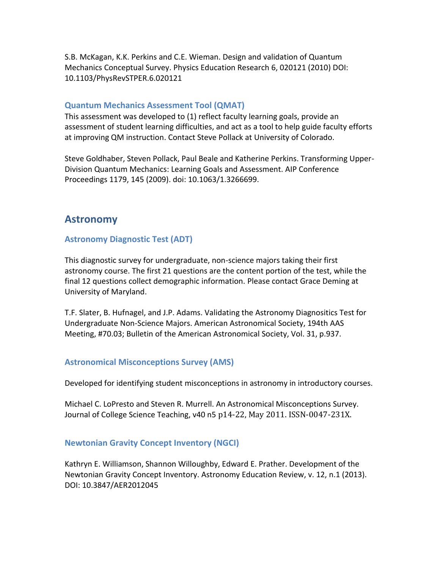S.B. McKagan, K.K. Perkins and C.E. Wieman. Design and validation of Quantum Mechanics Conceptual Survey. Physics Education Research 6, 020121 (2010) DOI: 10.1103/PhysRevSTPER.6.020121

## **Quantum Mechanics Assessment Tool (QMAT)**

This assessment was developed to (1) reflect faculty learning goals, provide an assessment of student learning difficulties, and act as a tool to help guide faculty efforts at improving QM instruction. Contact Steve Pollack at University of Colorado.

Steve Goldhaber, Steven Pollack, Paul Beale and Katherine Perkins. Transforming Upper-Division Quantum Mechanics: Learning Goals and Assessment. AIP Conference Proceedings 1179, 145 (2009). doi: 10.1063/1.3266699.

# **Astronomy**

# **Astronomy Diagnostic Test (ADT)**

This diagnostic survey for undergraduate, non-science majors taking their first astronomy course. The first 21 questions are the content portion of the test, while the final 12 questions collect demographic information. Please contact Grace Deming at University of Maryland.

T.F. Slater, B. Hufnagel, and J.P. Adams. Validating the Astronomy Diagnositics Test for Undergraduate Non-Science Majors. American Astronomical Society, 194th AAS Meeting, #70.03; Bulletin of the American Astronomical Society, Vol. 31, p.937.

# **Astronomical Misconceptions Survey (AMS)**

Developed for identifying student misconceptions in astronomy in introductory courses.

Michael C. LoPresto and Steven R. Murrell. An Astronomical Misconceptions Survey. Journal of College Science Teaching, v40 n5 p14-22, May 2011. ISSN-0047-231X.

# **Newtonian Gravity Concept Inventory (NGCI)**

Kathryn E. Williamson, Shannon Willoughby, Edward E. Prather. Development of the Newtonian Gravity Concept Inventory. Astronomy Education Review, v. 12, n.1 (2013). DOI: 10.3847/AER2012045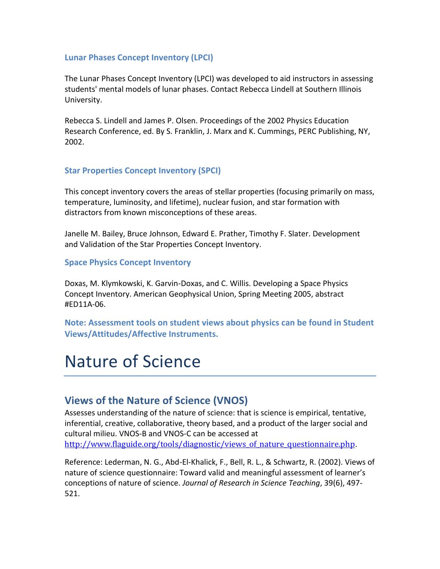## **Lunar Phases Concept Inventory (LPCI)**

The Lunar Phases Concept Inventory (LPCI) was developed to aid instructors in assessing students' mental models of lunar phases. Contact Rebecca Lindell at Southern Illinois University.

Rebecca S. Lindell and James P. Olsen. Proceedings of the 2002 Physics Education Research Conference, ed. By S. Franklin, J. Marx and K. Cummings, PERC Publishing, NY, 2002.

# **Star Properties Concept Inventory (SPCI)**

This concept inventory covers the areas of stellar properties (focusing primarily on mass, temperature, luminosity, and lifetime), nuclear fusion, and star formation with distractors from known misconceptions of these areas.

Janelle M. Bailey, Bruce Johnson, Edward E. Prather, Timothy F. Slater. Development and Validation of the Star Properties Concept Inventory.

## **Space Physics Concept Inventory**

Doxas, M. Klymkowski, K. Garvin-Doxas, and C. Willis. Developing a Space Physics Concept Inventory. American Geophysical Union, Spring Meeting 2005, abstract #ED11A-06.

**Note: Assessment tools on student views about physics can be found in Student Views/Attitudes/Affective Instruments.**

# Nature of Science

# **Views of the Nature of Science (VNOS)**

Assesses understanding of the nature of science: that is science is empirical, tentative, inferential, creative, collaborative, theory based, and a product of the larger social and cultural milieu. VNOS-B and VNOS-C can be accessed at http://www.flaguide.org/tools/diagnostic/views of nature questionnaire.php.

Reference: Lederman, N. G., Abd-El-Khalick, F., Bell, R. L., & Schwartz, R. (2002). Views of nature of science questionnaire: Toward valid and meaningful assessment of learner's conceptions of nature of science. *Journal of Research in Science Teaching*, 39(6), 497- 521.